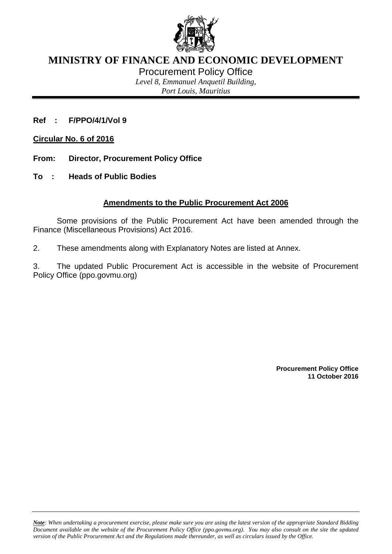

## **MINISTRY OF FINANCE AND ECONOMIC DEVELOPMENT**

Procurement Policy Office

*Level 8, Emmanuel Anquetil Building,*

*Port Louis, Mauritius*

**Ref : F/PPO/4/1/Vol 9**

**Circular No. 6 of 2016**

- **From: Director, Procurement Policy Office**
- **To : Heads of Public Bodies**

## **Amendments to the Public Procurement Act 2006**

Some provisions of the Public Procurement Act have been amended through the Finance (Miscellaneous Provisions) Act 2016.

2. These amendments along with Explanatory Notes are listed at Annex.

3. The updated Public Procurement Act is accessible in the website of Procurement Policy Office (ppo.govmu.org)

> **Procurement Policy Office 11 October 2016**

*Note: When undertaking a procurement exercise, please make sure you are using the latest version of the appropriate Standard Bidding Document available on the website of the Procurement Policy Office (ppo.govmu.org). You may also consult on the site the updated version of the Public Procurement Act and the Regulations made thereunder, as well as circulars issued by the Office.*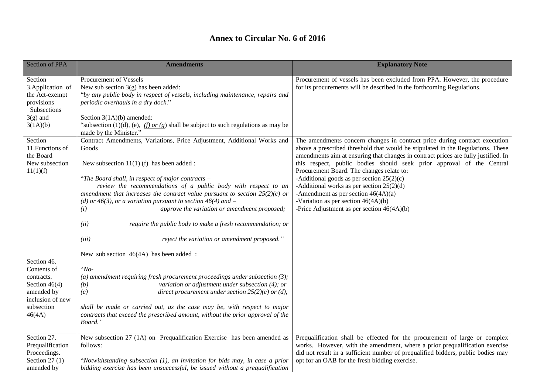## **Annex to Circular No. 6 of 2016**

| <b>Section of PPA</b>                                                                                                 | <b>Amendments</b>                                                                                                                                                                                                                                                                                                                                                                                                                                                                                                                                                                                 | <b>Explanatory Note</b>                                                                                                                                                                                                                                                                                                                                                                                                                                                                                                                                                                                   |
|-----------------------------------------------------------------------------------------------------------------------|---------------------------------------------------------------------------------------------------------------------------------------------------------------------------------------------------------------------------------------------------------------------------------------------------------------------------------------------------------------------------------------------------------------------------------------------------------------------------------------------------------------------------------------------------------------------------------------------------|-----------------------------------------------------------------------------------------------------------------------------------------------------------------------------------------------------------------------------------------------------------------------------------------------------------------------------------------------------------------------------------------------------------------------------------------------------------------------------------------------------------------------------------------------------------------------------------------------------------|
| Section<br>3. Application of<br>the Act-exempt<br>provisions<br>Subsections<br>$3(g)$ and<br>3(1A)(b)                 | Procurement of Vessels<br>New sub section $3(g)$ has been added:<br>"by any public body in respect of vessels, including maintenance, repairs and<br>periodic overhauls in a dry dock."<br>Section $3(1A)(b)$ amended:<br>"subsection (1)(d), (e), $(f)$ or (g) shall be subject to such regulations as may be<br>made by the Minister."                                                                                                                                                                                                                                                          | Procurement of vessels has been excluded from PPA. However, the procedure<br>for its procurements will be described in the forthcoming Regulations.                                                                                                                                                                                                                                                                                                                                                                                                                                                       |
| Section<br>11. Functions of<br>the Board<br>New subsection<br>11(1)(f)                                                | Contract Amendments, Variations, Price Adjustment, Additional Works and<br>Goods<br>New subsection $11(1)$ (f) has been added :<br>"The Board shall, in respect of major contracts $-$<br>review the recommendations of a public body with respect to an<br>amendment that increases the contract value pursuant to section $25(2)(c)$ or<br>(d) or 46(3), or a variation pursuant to section 46(4) and $-$<br>approve the variation or amendment proposed;<br>(i)<br>require the public body to make a fresh recommendation; or<br>(ii)<br>reject the variation or amendment proposed."<br>(iii) | The amendments concern changes in contract price during contract execution<br>above a prescribed threshold that would be stipulated in the Regulations. These<br>amendments aim at ensuring that changes in contract prices are fully justified. In<br>this respect, public bodies should seek prior approval of the Central<br>Procurement Board. The changes relate to:<br>-Additional goods as per section $25(2)(c)$<br>-Additional works as per section $25(2)(d)$<br>-Amendment as per section $46(4A)(a)$<br>-Variation as per section $46(4A)(b)$<br>-Price Adjustment as per section $46(4A)(b)$ |
| Section 46.<br>Contents of<br>contracts.<br>Section $46(4)$<br>amended by<br>inclusion of new<br>subsection<br>46(4A) | New sub section 46(4A) has been added:<br>" $No-$<br>(a) amendment requiring fresh procurement proceedings under subsection $(3)$ ;<br>variation or adjustment under subsection (4); or<br>(b)<br>(c)<br>direct procurement under section $25(2)(c)$ or (d),<br>shall be made or carried out, as the case may be, with respect to major<br>contracts that exceed the prescribed amount, without the prior approval of the<br>Board."                                                                                                                                                              |                                                                                                                                                                                                                                                                                                                                                                                                                                                                                                                                                                                                           |
| Section 27.<br>Prequalification<br>Proceedings.<br>Section $27(1)$<br>amended by                                      | New subsection 27 (1A) on Prequalification Exercise has been amended as<br>follows:<br>"Notwithstanding subsection $(1)$ , an invitation for bids may, in case a prior<br>bidding exercise has been unsuccessful, be issued without a prequalification                                                                                                                                                                                                                                                                                                                                            | Prequalification shall be effected for the procurement of large or complex<br>works. However, with the amendment, where a prior prequalification exercise<br>did not result in a sufficient number of prequalified bidders, public bodies may<br>opt for an OAB for the fresh bidding exercise.                                                                                                                                                                                                                                                                                                           |